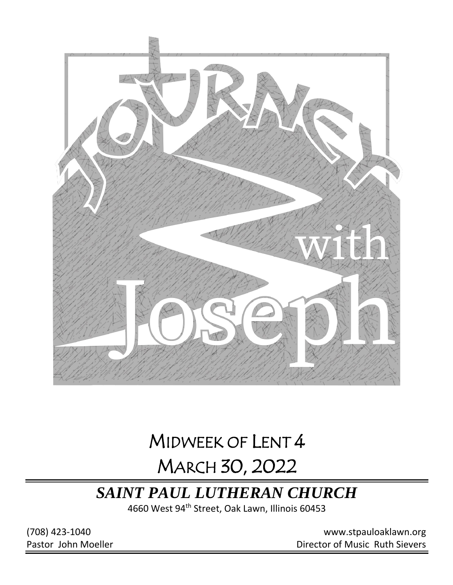

# MIDWEEK OF LENT 4 MARCH 30, 2022

## *SAINT PAUL LUTHERAN CHURCH*

4660 West 94<sup>th</sup> Street, Oak Lawn, Illinois 60453

(708) 423-1040 [www.stpauloaklawn.org](about:blank) Pastor John Moeller **Director of Music Ruth Sievers**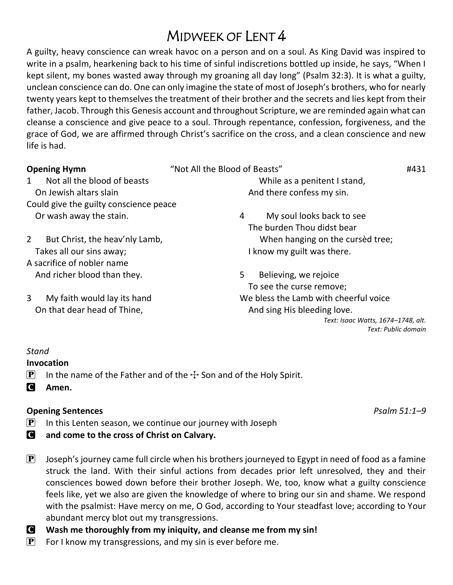## MIDWEEK OF LENT 4

A guilty, heavy conscience can wreak havoc on a person and on a soul. As King David was inspired to write in a psalm, hearkening back to his time of sinful indiscretions bottled up inside, he says, "When I kept silent, my bones wasted away through my groaning all day long" (Psalm 32:3). It is what a guilty, unclean conscience can do. One can only imagine the state of most of Joseph's brothers, who for nearly twenty years kept to themselves the treatment of their brother and the secrets and lies kept from their father, Jacob. Through this Genesis account and throughout Scripture, we are reminded again what can cleanse a conscience and give peace to a soul. Through repentance, confession, forgiveness, and the grace of God, we are affirmed through Christ's sacrifice on the cross, and a clean conscience and new life is had.

| <b>Opening Hymn</b>                    | "Not All the Blood of Beasts"         | #431 |  |  |
|----------------------------------------|---------------------------------------|------|--|--|
| Not all the blood of beasts            | While as a penitent I stand,          |      |  |  |
| On Jewish altars slain                 | And there confess my sin.             |      |  |  |
| Could give the guilty conscience peace |                                       |      |  |  |
| Or wash away the stain.                | My soul looks back to see<br>4        |      |  |  |
|                                        | The burden Thou didst bear            |      |  |  |
| But Christ, the heav'nly Lamb,<br>2    | When hanging on the cursed tree;      |      |  |  |
| Takes all our sins away;               | I know my guilt was there.            |      |  |  |
| A sacrifice of nobler name             |                                       |      |  |  |
| And richer blood than they.            | 5<br>Believing, we rejoice            |      |  |  |
|                                        | To see the curse remove;              |      |  |  |
| 3<br>My faith would lay its hand       | We bless the Lamb with cheerful voice |      |  |  |
| On that dear head of Thine,            | And sing His bleeding love.           |      |  |  |
|                                        | Text: Isaac Watts, 1674–1748, alt.    |      |  |  |
|                                        | Text: Public domain                   |      |  |  |

#### *Stand*

**Invocation**

- **P** In the name of the Father and of the  $\pm$  Son and of the Holy Spirit.
- C **Amen.**

#### **Opening Sentences** *Psalm 51:1–9*

- $\mathbf{P}$  In this Lenten season, we continue our journey with Joseph
- C **and come to the cross of Christ on Calvary.**
- $\mathbf{P}$  Joseph's journey came full circle when his brothers journeyed to Egypt in need of food as a famine struck the land. With their sinful actions from decades prior left unresolved, they and their consciences bowed down before their brother Joseph. We, too, know what a guilty conscience feels like, yet we also are given the knowledge of where to bring our sin and shame. We respond with the psalmist: Have mercy on me, O God, according to Your steadfast love; according to Your abundant mercy blot out my transgressions.
- C **Wash me thoroughly from my iniquity, and cleanse me from my sin!**
- $\left[ \mathbf{P} \right]$  For I know my transgressions, and my sin is ever before me.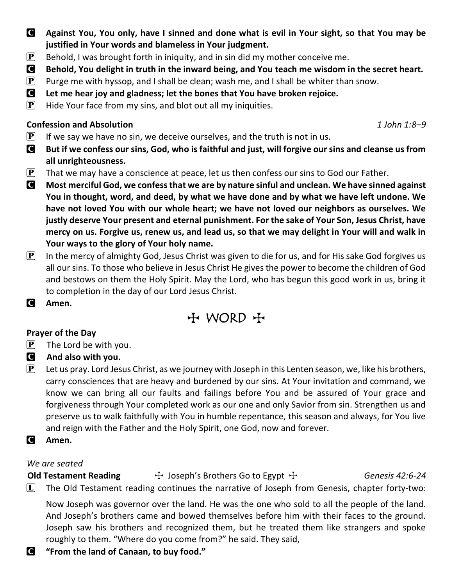- C **Against You, You only, have I sinned and done what is evil in Your sight, so that You may be justified in Your words and blameless in Your judgment.**
- **P** Behold, I was brought forth in iniquity, and in sin did my mother conceive me.
- C **Behold, You delight in truth in the inward being, and You teach me wisdom in the secret heart.**
- **P** Purge me with hyssop, and I shall be clean; wash me, and I shall be whiter than snow.
- C **Let me hear joy and gladness; let the bones that You have broken rejoice.**
- $\mathbf{P}$  Hide Your face from my sins, and blot out all my iniquities.

#### **Confession and Absolution** *1 John 1:8–9*

- $\mathbf{P}$  If we say we have no sin, we deceive ourselves, and the truth is not in us.
- C **But if we confess our sins, God, who is faithful and just, will forgive our sins and cleanse us from all unrighteousness.**
- **P** That we may have a conscience at peace, let us then confess our sins to God our Father.
- C **Most merciful God, we confess that we are by nature sinful and unclean. We have sinned against You in thought, word, and deed, by what we have done and by what we have left undone. We have not loved You with our whole heart; we have not loved our neighbors as ourselves. We justly deserve Your present and eternal punishment. For the sake of Your Son, Jesus Christ, have mercy on us. Forgive us, renew us, and lead us, so that we may delight in Your will and walk in Your ways to the glory of Your holy name.**
- $\mathbf{P}$  In the mercy of almighty God, Jesus Christ was given to die for us, and for His sake God forgives us all our sins. To those who believe in Jesus Christ He gives the power to become the children of God and bestows on them the Holy Spirit. May the Lord, who has begun this good work in us, bring it to completion in the day of our Lord Jesus Christ.
- C **Amen.**

## + WORD +

#### **Prayer of the Day**

- $\left| \mathbf{P} \right|$  The Lord be with you.
- C **And also with you.**
- **P** Let us pray. Lord Jesus Christ, as we journey with Joseph in this Lenten season, we, like his brothers, carry consciences that are heavy and burdened by our sins. At Your invitation and command, we know we can bring all our faults and failings before You and be assured of Your grace and forgiveness through Your completed work as our one and only Savior from sin. Strengthen us and preserve us to walk faithfully with You in humble repentance, this season and always, for You live and reign with the Father and the Holy Spirit, one God, now and forever.
- C **Amen.**

#### *We are seated*

**Old Testament Reading**  $\qquad \qquad +$  Joseph's Brothers Go to Egypt  $+$  *Genesis 42:6-24*  $\Box$  The Old Testament reading continues the narrative of Joseph from Genesis, chapter forty-two:

Now Joseph was governor over the land. He was the one who sold to all the people of the land. And Joseph's brothers came and bowed themselves before him with their faces to the ground. Joseph saw his brothers and recognized them, but he treated them like strangers and spoke roughly to them. "Where do you come from?" he said. They said,

C **"From the land of Canaan, to buy food."**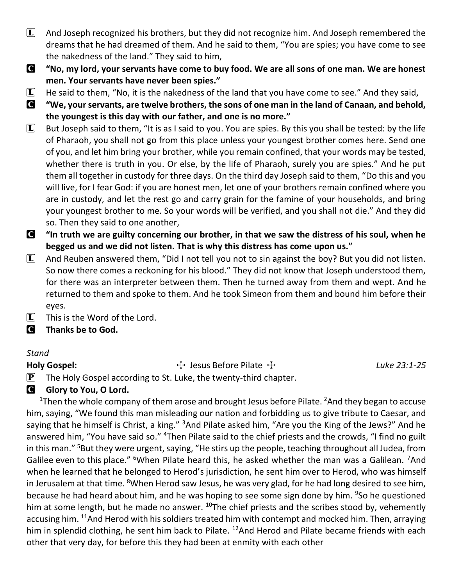- $\Box$  And Joseph recognized his brothers, but they did not recognize him. And Joseph remembered the dreams that he had dreamed of them. And he said to them, "You are spies; you have come to see the nakedness of the land." They said to him,
- C **"No, my lord, your servants have come to buy food. We are all sons of one man. We are honest men. Your servants have never been spies."**
- $[L]$  He said to them, "No, it is the nakedness of the land that you have come to see." And they said,
- C **"We, your servants, are twelve brothers, the sons of one man in the land of Canaan, and behold, the youngest is this day with our father, and one is no more."**
- $\Box$  But Joseph said to them, "It is as I said to you. You are spies. By this you shall be tested: by the life of Pharaoh, you shall not go from this place unless your youngest brother comes here. Send one of you, and let him bring your brother, while you remain confined, that your words may be tested, whether there is truth in you. Or else, by the life of Pharaoh, surely you are spies." And he put them all together in custody for three days. On the third day Joseph said to them, "Do this and you will live, for I fear God: if you are honest men, let one of your brothers remain confined where you are in custody, and let the rest go and carry grain for the famine of your households, and bring your youngest brother to me. So your words will be verified, and you shall not die." And they did so. Then they said to one another,
- C **"In truth we are guilty concerning our brother, in that we saw the distress of his soul, when he begged us and we did not listen. That is why this distress has come upon us."**
- $\Box$  And Reuben answered them, "Did I not tell you not to sin against the boy? But you did not listen. So now there comes a reckoning for his blood." They did not know that Joseph understood them, for there was an interpreter between them. Then he turned away from them and wept. And he returned to them and spoke to them. And he took Simeon from them and bound him before their eyes.
- $\boxed{\mathbf{L}}$  This is the Word of the Lord.
- C **Thanks be to God.**

#### *Stand*

Holy Gospel: **The Act as Example 31:25** Filate  $\frac{1}{2}$  Luke 23:1-25

 $\mathbf{P}$  The Holy Gospel according to St. Luke, the twenty-third chapter.

### **G** Glory to You, O Lord.

<sup>1</sup>Then the whole company of them arose and brought Jesus before Pilate. <sup>2</sup>And they began to accuse him, saying, "We found this man misleading our nation and forbidding us to give tribute to Caesar, and saying that he himself is Christ, a king." <sup>3</sup>And Pilate asked him, "Are you the King of the Jews?" And he answered him, "You have said so." <sup>4</sup>Then Pilate said to the chief priests and the crowds, "I find no guilt in this man." <sup>5</sup>But they were urgent, saying, "He stirs up the people, teaching throughout all Judea, from Galilee even to this place." <sup>6</sup>When Pilate heard this, he asked whether the man was a Galilean. <sup>7</sup>And when he learned that he belonged to Herod's jurisdiction, he sent him over to Herod, who was himself in Jerusalem at that time. <sup>8</sup>When Herod saw Jesus, he was very glad, for he had long desired to see him, because he had heard about him, and he was hoping to see some sign done by him. <sup>9</sup>So he questioned him at some length, but he made no answer. <sup>10</sup>The chief priests and the scribes stood by, vehemently accusing him. <sup>11</sup>And Herod with his soldiers treated him with contempt and mocked him. Then, arraying him in splendid clothing, he sent him back to Pilate. <sup>12</sup>And Herod and Pilate became friends with each other that very day, for before this they had been at enmity with each other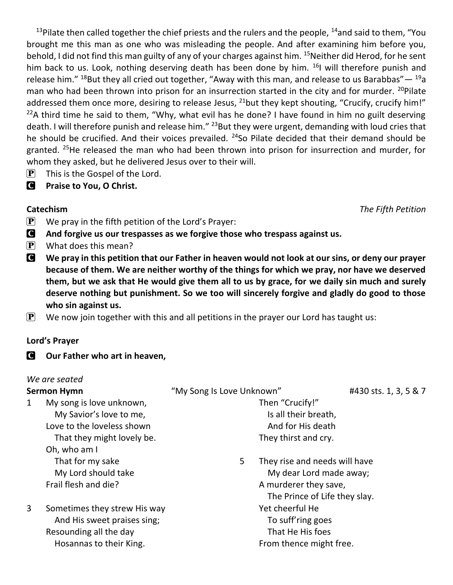<sup>13</sup>Pilate then called together the chief priests and the rulers and the people, <sup>14</sup>and said to them, "You brought me this man as one who was misleading the people. And after examining him before you, behold, I did not find this man guilty of any of your charges against him. <sup>15</sup>Neither did Herod, for he sent him back to us. Look, nothing deserving death has been done by him. <sup>16</sup>I will therefore punish and release him." <sup>18</sup>But they all cried out together, "Away with this man, and release to us Barabbas" — <sup>19</sup>a man who had been thrown into prison for an insurrection started in the city and for murder. <sup>20</sup>Pilate addressed them once more, desiring to release Jesus,  $^{21}$ but they kept shouting, "Crucify, crucify him!" <sup>22</sup>A third time he said to them, "Why, what evil has he done? I have found in him no guilt deserving death. I will therefore punish and release him." <sup>23</sup>But they were urgent, demanding with loud cries that he should be crucified. And their voices prevailed. <sup>24</sup>So Pilate decided that their demand should be granted. <sup>25</sup>He released the man who had been thrown into prison for insurrection and murder, for whom they asked, but he delivered Jesus over to their will.

- $\mathbf{P}$  This is the Gospel of the Lord.
- C **Praise to You, O Christ.**

- $\mathbf{P}$  We pray in the fifth petition of the Lord's Prayer:
- C **And forgive us our trespasses as we forgive those who trespass against us.**
- $\left| \mathbf{P} \right|$  What does this mean?
- C **We pray in this petition that our Father in heaven would not look at our sins, or deny our prayer because of them. We are neither worthy of the things for which we pray, nor have we deserved them, but we ask that He would give them all to us by grace, for we daily sin much and surely deserve nothing but punishment. So we too will sincerely forgive and gladly do good to those who sin against us.**
- $\mathbf{P}$  We now join together with this and all petitions in the prayer our Lord has taught us:

#### **Lord's Prayer**

C **Our Father who art in heaven,**

#### *We are seated*

| <b>Sermon Hymn</b> |                                                                                                                  | "My Song Is Love Unknown"                                    | #430 sts. 1, 3, 5 & 7                                                                                              |  |
|--------------------|------------------------------------------------------------------------------------------------------------------|--------------------------------------------------------------|--------------------------------------------------------------------------------------------------------------------|--|
| 1                  | My song is love unknown,<br>My Savior's love to me,<br>Love to the loveless shown                                | Then "Crucify!"<br>Is all their breath,<br>And for His death |                                                                                                                    |  |
|                    | That they might lovely be.<br>Oh, who am I                                                                       | They thirst and cry.                                         |                                                                                                                    |  |
|                    | That for my sake<br>My Lord should take<br>Frail flesh and die?                                                  | 5                                                            | They rise and needs will have<br>My dear Lord made away;<br>A murderer they save,<br>The Prince of Life they slay. |  |
| 3                  | Sometimes they strew His way<br>And His sweet praises sing;<br>Resounding all the day<br>Hosannas to their King. | Yet cheerful He<br>To suff'ring goes<br>That He His foes     | From thence might free.                                                                                            |  |

**Catechism** *The Fifth Petition*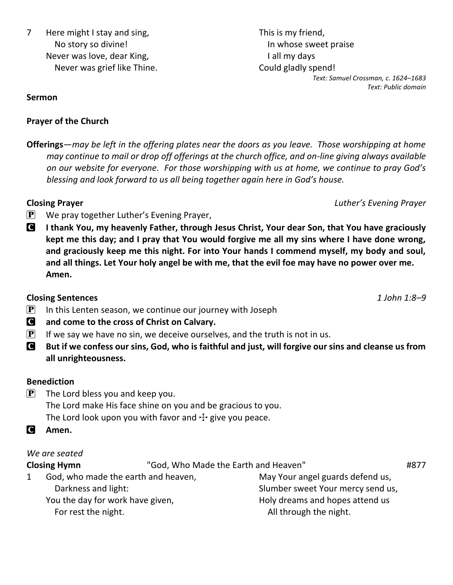This is my friend, In whose sweet praise I all my days Could gladly spend! *Text: Samuel Crossman, c. 1624–1683 Text: Public domain*

**Sermon**

#### **Prayer of the Church**

**Offerings***—may be left in the offering plates near the doors as you leave. Those worshipping at home may continue to mail or drop off offerings at the church office, and on-line giving always available on our website for everyone. For those worshipping with us at home, we continue to pray God's blessing and look forward to us all being together again here in God's house.*

#### **Closing Prayer** *Luther's Evening Prayer*

- $\mathbf{P}$  We pray together Luther's Evening Prayer,
- C **I thank You, my heavenly Father, through Jesus Christ, Your dear Son, that You have graciously kept me this day; and I pray that You would forgive me all my sins where I have done wrong, and graciously keep me this night. For into Your hands I commend myself, my body and soul, and all things. Let Your holy angel be with me, that the evil foe may have no power over me. Amen.**

### **Closing Sentences** *1 John 1:8–9*

- $\mathbf{P}$  In this Lenten season, we continue our journey with Joseph
- C **and come to the cross of Christ on Calvary.**
- $\left[ \mathbf{P} \right]$  If we say we have no sin, we deceive ourselves, and the truth is not in us.
- C **But if we confess our sins, God, who is faithful and just, will forgive our sins and cleanse us from all unrighteousness.**

#### **Benediction**

- $\left| \mathbf{P} \right|$  The Lord bless you and keep you. The Lord make His face shine on you and be gracious to you. The Lord look upon you with favor and  $\pm$  give you peace.
- C **Amen.**

### *We are seated*

**Closing Hymn** "God, Who Made the Earth and Heaven" **1877** 1 God, who made the earth and heaven, Darkness and light: You the day for work have given, For rest the night. May Your angel guards defend us, Slumber sweet Your mercy send us, Holy dreams and hopes attend us All through the night.

7 Here might I stay and sing, No story so divine! Never was love, dear King, Never was grief like Thine.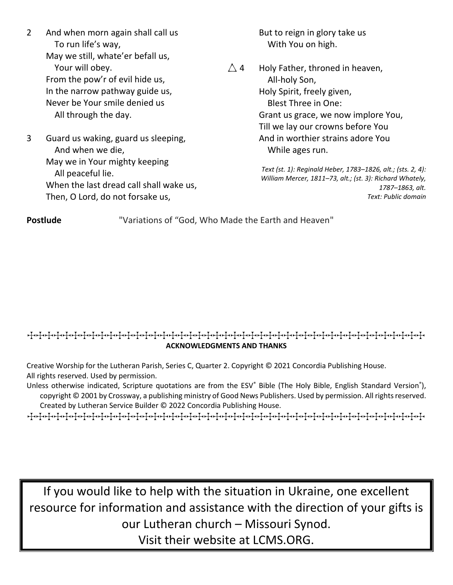- 2 And when morn again shall call us To run life's way, May we still, whate'er befall us, Your will obey. From the pow'r of evil hide us, In the narrow pathway guide us, Never be Your smile denied us All through the day.
- 3 Guard us waking, guard us sleeping, And when we die, May we in Your mighty keeping All peaceful lie. When the last dread call shall wake us, Then, O Lord, do not forsake us,

But to reign in glory take us With You on high.

 $\triangle$  4 Holy Father, throned in heaven, All-holy Son, Holy Spirit, freely given, Blest Three in One: Grant us grace, we now implore You, Till we lay our crowns before You And in worthier strains adore You While ages run.

> *Text (st. 1): Reginald Heber, 1783–1826, alt.; (sts. 2, 4): William Mercer, 1811–73, alt.; (st. 3): Richard Whately, 1787–1863, alt. Text: Public domain*

**Postlude** "Variations of "God, Who Made the Earth and Heaven"

#### TTTTTTTTTTTTTTTTTTTTTTTTTTTTTTTTTTTTTTTTTTTTT **ACKNOWLEDGMENTS AND THANKS**

Creative Worship for the Lutheran Parish, Series C, Quarter 2. Copyright © 2021 Concordia Publishing House. All rights reserved. Used by permission.

Unless otherwise indicated, Scripture quotations are from the ESV® Bible (The Holy Bible, English Standard Version®), copyright © 2001 by Crossway, a publishing ministry of Good News Publishers. Used by permission. All rights reserved. Created by Lutheran Service Builder © 2022 Concordia Publishing House.

TTTTTTTTTTTTTTTTTTTTTTTTTTTTTTTTTTTTTTTTTTTTT

If you would like to help with the situation in Ukraine, one excellent resource for information and assistance with the direction of your gifts is our Lutheran church – Missouri Synod.

Visit their website at LCMS.ORG.